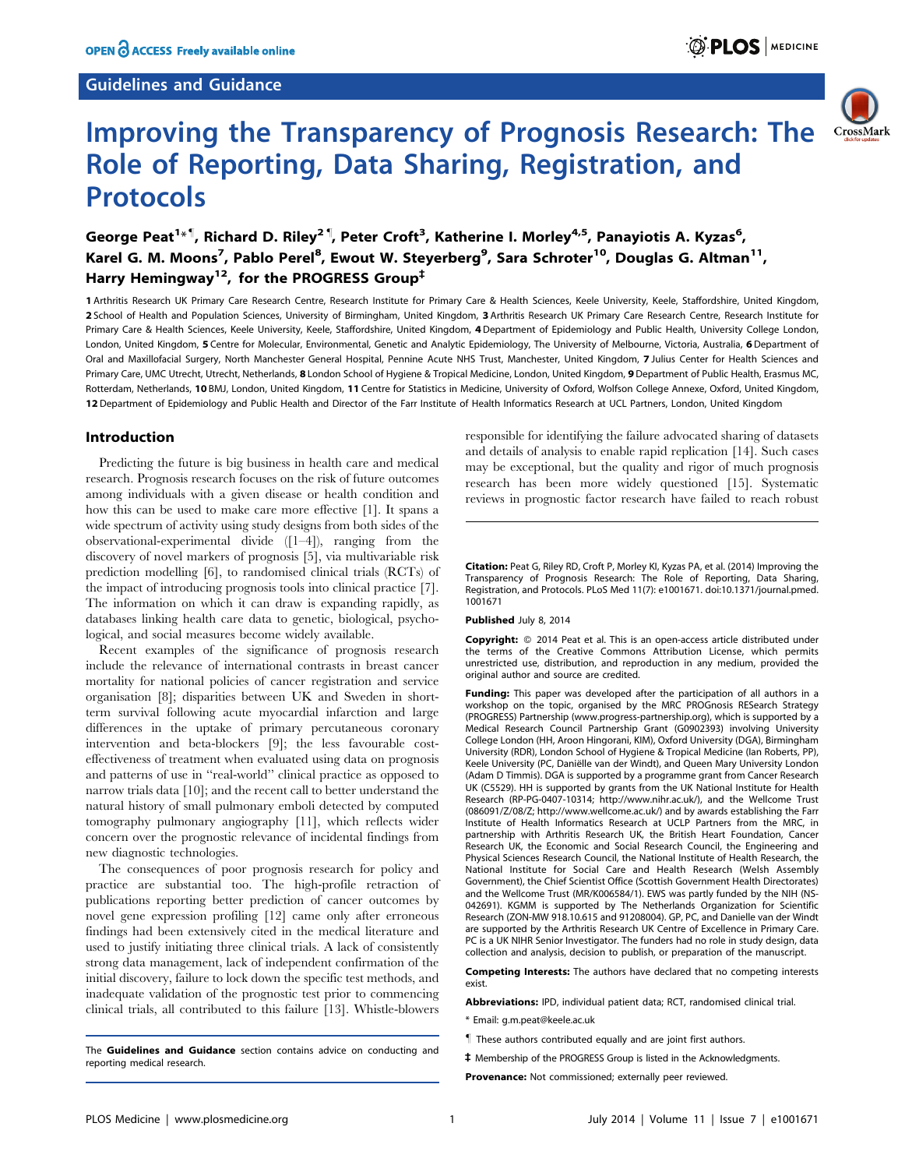# Guidelines and Guidance





# Improving the Transparency of Prognosis Research: The Role of Reporting, Data Sharing, Registration, and Protocols

# George Peat<sup>1\*¶</sup>, Richard D. Riley<sup>2¶</sup>, Peter Croft<sup>3</sup>, Katherine I. Morley<sup>4,5</sup>, Panayiotis A. Kyzas<sup>6</sup>, Karel G. M. Moons<sup>7</sup>, Pablo Perel<sup>8</sup>, Ewout W. Steyerberg<sup>9</sup>, Sara Schroter<sup>10</sup>, Douglas G. Altman<sup>11</sup>, Harry Hemingway<sup>12</sup>, for the PROGRESS Group<sup>‡</sup>

1 Arthritis Research UK Primary Care Research Centre, Research Institute for Primary Care & Health Sciences, Keele University, Keele, Staffordshire, United Kingdom, 2 School of Health and Population Sciences, University of Birmingham, United Kingdom, 3 Arthritis Research UK Primary Care Research Centre, Research Institute for Primary Care & Health Sciences, Keele University, Keele, Staffordshire, United Kingdom, 4 Department of Epidemiology and Public Health, University College London, London, United Kingdom, 5 Centre for Molecular, Environmental, Genetic and Analytic Epidemiology, The University of Melbourne, Victoria, Australia, 6 Department of Oral and Maxillofacial Surgery, North Manchester General Hospital, Pennine Acute NHS Trust, Manchester, United Kingdom, 7 Julius Center for Health Sciences and Primary Care, UMC Utrecht, Utrecht, Netherlands, 8 London School of Hygiene & Tropical Medicine, London, United Kingdom, 9 Department of Public Health, Erasmus MC, Rotterdam, Netherlands, 10 BMJ, London, United Kingdom, 11 Centre for Statistics in Medicine, University of Oxford, Wolfson College Annexe, Oxford, United Kingdom, 12 Department of Epidemiology and Public Health and Director of the Farr Institute of Health Informatics Research at UCL Partners, London, United Kingdom

# Introduction

Predicting the future is big business in health care and medical research. Prognosis research focuses on the risk of future outcomes among individuals with a given disease or health condition and how this can be used to make care more effective [1]. It spans a wide spectrum of activity using study designs from both sides of the observational-experimental divide ([1–4]), ranging from the discovery of novel markers of prognosis [5], via multivariable risk prediction modelling [6], to randomised clinical trials (RCTs) of the impact of introducing prognosis tools into clinical practice [7]. The information on which it can draw is expanding rapidly, as databases linking health care data to genetic, biological, psychological, and social measures become widely available.

Recent examples of the significance of prognosis research include the relevance of international contrasts in breast cancer mortality for national policies of cancer registration and service organisation [8]; disparities between UK and Sweden in shortterm survival following acute myocardial infarction and large differences in the uptake of primary percutaneous coronary intervention and beta-blockers [9]; the less favourable costeffectiveness of treatment when evaluated using data on prognosis and patterns of use in ''real-world'' clinical practice as opposed to narrow trials data [10]; and the recent call to better understand the natural history of small pulmonary emboli detected by computed tomography pulmonary angiography [11], which reflects wider concern over the prognostic relevance of incidental findings from new diagnostic technologies.

The consequences of poor prognosis research for policy and practice are substantial too. The high-profile retraction of publications reporting better prediction of cancer outcomes by novel gene expression profiling [12] came only after erroneous findings had been extensively cited in the medical literature and used to justify initiating three clinical trials. A lack of consistently strong data management, lack of independent confirmation of the initial discovery, failure to lock down the specific test methods, and inadequate validation of the prognostic test prior to commencing clinical trials, all contributed to this failure [13]. Whistle-blowers

The Guidelines and Guidance section contains advice on conducting and reporting medical research.

responsible for identifying the failure advocated sharing of datasets and details of analysis to enable rapid replication [14]. Such cases may be exceptional, but the quality and rigor of much prognosis research has been more widely questioned [15]. Systematic reviews in prognostic factor research have failed to reach robust

Citation: Peat G, Riley RD, Croft P, Morley KI, Kyzas PA, et al. (2014) Improving the Transparency of Prognosis Research: The Role of Reporting, Data Sharing, Registration, and Protocols. PLoS Med 11(7): e1001671. doi:10.1371/journal.pmed. 1001671

#### Published July 8, 2014

Copyright: @ 2014 Peat et al. This is an open-access article distributed under the terms of the [Creative Commons Attribution License](http://creativecommons.org/licenses/by/4.0/), which permits unrestricted use, distribution, and reproduction in any medium, provided the original author and source are credited.

Funding: This paper was developed after the participation of all authors in a workshop on the topic, organised by the MRC PROGnosis RESearch Strategy (PROGRESS) Partnership ([www.progress-partnership.org\)](http://www.progress-partnership.org), which is supported by a Medical Research Council Partnership Grant (G0902393) involving University College London (HH, Aroon Hingorani, KIM), Oxford University (DGA), Birmingham University (RDR), London School of Hygiene & Tropical Medicine (Ian Roberts, PP), Keele University (PC, Daniëlle van der Windt), and Oueen Mary University London (Adam D Timmis). DGA is supported by a programme grant from Cancer Research UK (C5529). HH is supported by grants from the UK National Institute for Health Research (RP-PG-0407-10314;<http://www.nihr.ac.uk/>), and the Wellcome Trust (086091/Z/08/Z; [http://www.wellcome.ac.uk/\)](http://www.wellcome.ac.uk/) and by awards establishing the Farr Institute of Health Informatics Research at UCLP Partners from the MRC, in partnership with Arthritis Research UK, the British Heart Foundation, Cancer Research UK, the Economic and Social Research Council, the Engineering and Physical Sciences Research Council, the National Institute of Health Research, the National Institute for Social Care and Health Research (Welsh Assembly Government), the Chief Scientist Office (Scottish Government Health Directorates) and the Wellcome Trust (MR/K006584/1). EWS was partly funded by the NIH (NS-042691). KGMM is supported by The Netherlands Organization for Scientific Research (ZON-MW 918.10.615 and 91208004). GP, PC, and Danielle van der Windt are supported by the Arthritis Research UK Centre of Excellence in Primary Care. PC is a UK NIHR Senior Investigator. The funders had no role in study design, data collection and analysis, decision to publish, or preparation of the manuscript.

Competing Interests: The authors have declared that no competing interests exist.

Abbreviations: IPD, individual patient data; RCT, randomised clinical trial.

- \* Email: g.m.peat@keele.ac.uk
- These authors contributed equally and are joint first authors. "
- <sup>‡</sup> Membership of the PROGRESS Group is listed in the Acknowledgments.

Provenance: Not commissioned: externally peer reviewed.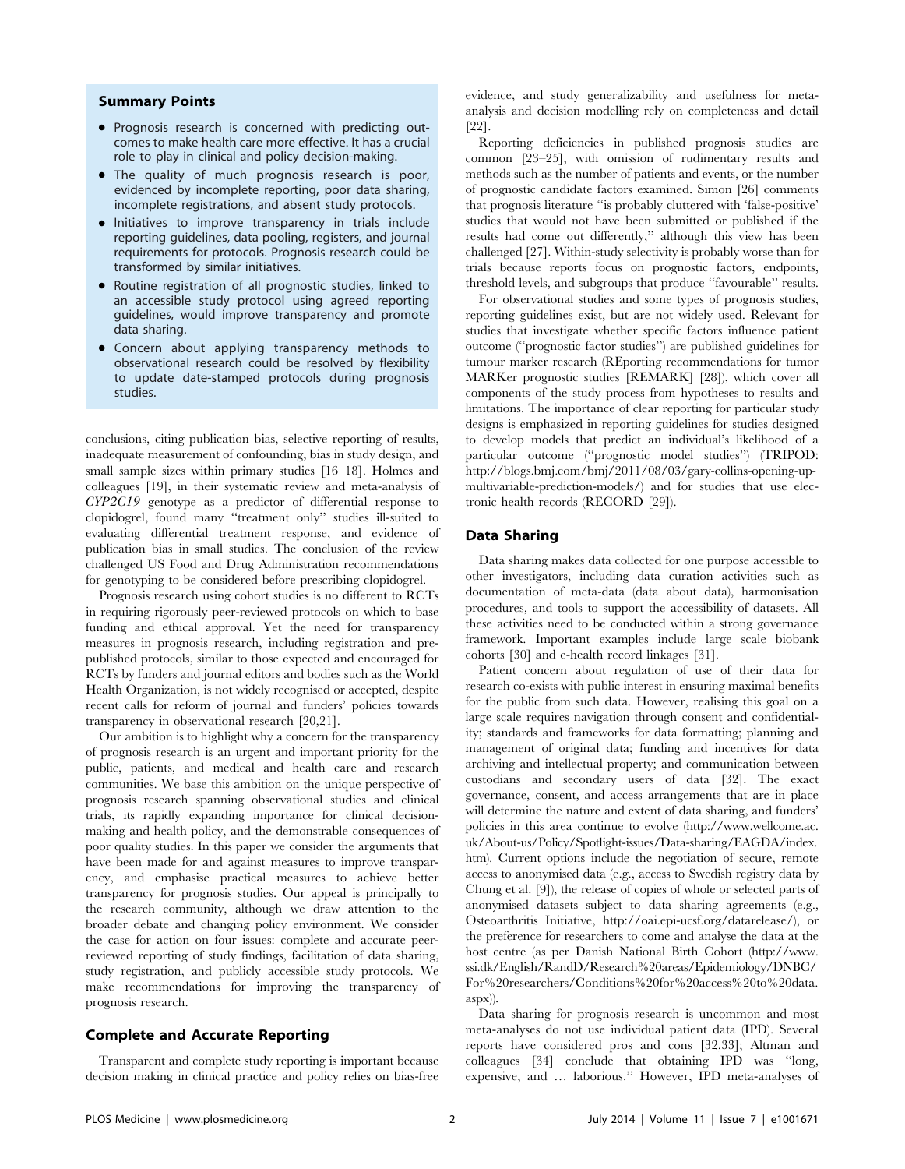# Summary Points

- Prognosis research is concerned with predicting outcomes to make health care more effective. It has a crucial role to play in clinical and policy decision-making.
- The quality of much prognosis research is poor, evidenced by incomplete reporting, poor data sharing, incomplete registrations, and absent study protocols.
- Initiatives to improve transparency in trials include reporting guidelines, data pooling, registers, and journal requirements for protocols. Prognosis research could be transformed by similar initiatives.
- Routine registration of all prognostic studies, linked to an accessible study protocol using agreed reporting guidelines, would improve transparency and promote data sharing.
- Concern about applying transparency methods to observational research could be resolved by flexibility to update date-stamped protocols during prognosis studies.

conclusions, citing publication bias, selective reporting of results, inadequate measurement of confounding, bias in study design, and small sample sizes within primary studies [16–18]. Holmes and colleagues [19], in their systematic review and meta-analysis of CYP2C19 genotype as a predictor of differential response to clopidogrel, found many ''treatment only'' studies ill-suited to evaluating differential treatment response, and evidence of publication bias in small studies. The conclusion of the review challenged US Food and Drug Administration recommendations for genotyping to be considered before prescribing clopidogrel.

Prognosis research using cohort studies is no different to RCTs in requiring rigorously peer-reviewed protocols on which to base funding and ethical approval. Yet the need for transparency measures in prognosis research, including registration and prepublished protocols, similar to those expected and encouraged for RCTs by funders and journal editors and bodies such as the World Health Organization, is not widely recognised or accepted, despite recent calls for reform of journal and funders' policies towards transparency in observational research [20,21].

Our ambition is to highlight why a concern for the transparency of prognosis research is an urgent and important priority for the public, patients, and medical and health care and research communities. We base this ambition on the unique perspective of prognosis research spanning observational studies and clinical trials, its rapidly expanding importance for clinical decisionmaking and health policy, and the demonstrable consequences of poor quality studies. In this paper we consider the arguments that have been made for and against measures to improve transparency, and emphasise practical measures to achieve better transparency for prognosis studies. Our appeal is principally to the research community, although we draw attention to the broader debate and changing policy environment. We consider the case for action on four issues: complete and accurate peerreviewed reporting of study findings, facilitation of data sharing, study registration, and publicly accessible study protocols. We make recommendations for improving the transparency of prognosis research.

#### Complete and Accurate Reporting

Transparent and complete study reporting is important because decision making in clinical practice and policy relies on bias-free

evidence, and study generalizability and usefulness for metaanalysis and decision modelling rely on completeness and detail [22].

Reporting deficiencies in published prognosis studies are common [23–25], with omission of rudimentary results and methods such as the number of patients and events, or the number of prognostic candidate factors examined. Simon [26] comments that prognosis literature ''is probably cluttered with 'false-positive' studies that would not have been submitted or published if the results had come out differently,'' although this view has been challenged [27]. Within-study selectivity is probably worse than for trials because reports focus on prognostic factors, endpoints, threshold levels, and subgroups that produce ''favourable'' results.

For observational studies and some types of prognosis studies, reporting guidelines exist, but are not widely used. Relevant for studies that investigate whether specific factors influence patient outcome (''prognostic factor studies'') are published guidelines for tumour marker research (REporting recommendations for tumor MARKer prognostic studies [REMARK] [28]), which cover all components of the study process from hypotheses to results and limitations. The importance of clear reporting for particular study designs is emphasized in reporting guidelines for studies designed to develop models that predict an individual's likelihood of a particular outcome (''prognostic model studies'') (TRIPOD: [http://blogs.bmj.com/bmj/2011/08/03/gary-collins-opening-up](http://blogs.bmj.com/bmj/2011/08/03/gary-collins-opening-up-multivariable-prediction-models/)[multivariable-prediction-models/\)](http://blogs.bmj.com/bmj/2011/08/03/gary-collins-opening-up-multivariable-prediction-models/) and for studies that use electronic health records (RECORD [29]).

### Data Sharing

Data sharing makes data collected for one purpose accessible to other investigators, including data curation activities such as documentation of meta-data (data about data), harmonisation procedures, and tools to support the accessibility of datasets. All these activities need to be conducted within a strong governance framework. Important examples include large scale biobank cohorts [30] and e-health record linkages [31].

Patient concern about regulation of use of their data for research co-exists with public interest in ensuring maximal benefits for the public from such data. However, realising this goal on a large scale requires navigation through consent and confidentiality; standards and frameworks for data formatting; planning and management of original data; funding and incentives for data archiving and intellectual property; and communication between custodians and secondary users of data [32]. The exact governance, consent, and access arrangements that are in place will determine the nature and extent of data sharing, and funders' policies in this area continue to evolve ([http://www.wellcome.ac.](http://www.wellcome.ac.uk/About-us/Policy/Spotlight-issues/Data-sharing/EAGDA/index.htm) [uk/About-us/Policy/Spotlight-issues/Data-sharing/EAGDA/index.](http://www.wellcome.ac.uk/About-us/Policy/Spotlight-issues/Data-sharing/EAGDA/index.htm) [htm](http://www.wellcome.ac.uk/About-us/Policy/Spotlight-issues/Data-sharing/EAGDA/index.htm)). Current options include the negotiation of secure, remote access to anonymised data (e.g., access to Swedish registry data by Chung et al. [9]), the release of copies of whole or selected parts of anonymised datasets subject to data sharing agreements (e.g., Osteoarthritis Initiative,<http://oai.epi-ucsf.org/datarelease/>), or the preference for researchers to come and analyse the data at the host centre (as per Danish National Birth Cohort ([http://www.](http://www.ssi.dk/English/RandD/Research%20areas/Epidemiology/DNBC/For%20researchers/Conditions%20for%20access%20to%20data.aspx) [ssi.dk/English/RandD/Research%20areas/Epidemiology/DNBC/](http://www.ssi.dk/English/RandD/Research%20areas/Epidemiology/DNBC/For%20researchers/Conditions%20for%20access%20to%20data.aspx) [For%20researchers/Conditions%20for%20access%20to%20data.](http://www.ssi.dk/English/RandD/Research%20areas/Epidemiology/DNBC/For%20researchers/Conditions%20for%20access%20to%20data.aspx) [aspx](http://www.ssi.dk/English/RandD/Research%20areas/Epidemiology/DNBC/For%20researchers/Conditions%20for%20access%20to%20data.aspx))).

Data sharing for prognosis research is uncommon and most meta-analyses do not use individual patient data (IPD). Several reports have considered pros and cons [32,33]; Altman and colleagues [34] conclude that obtaining IPD was ''long, expensive, and … laborious.'' However, IPD meta-analyses of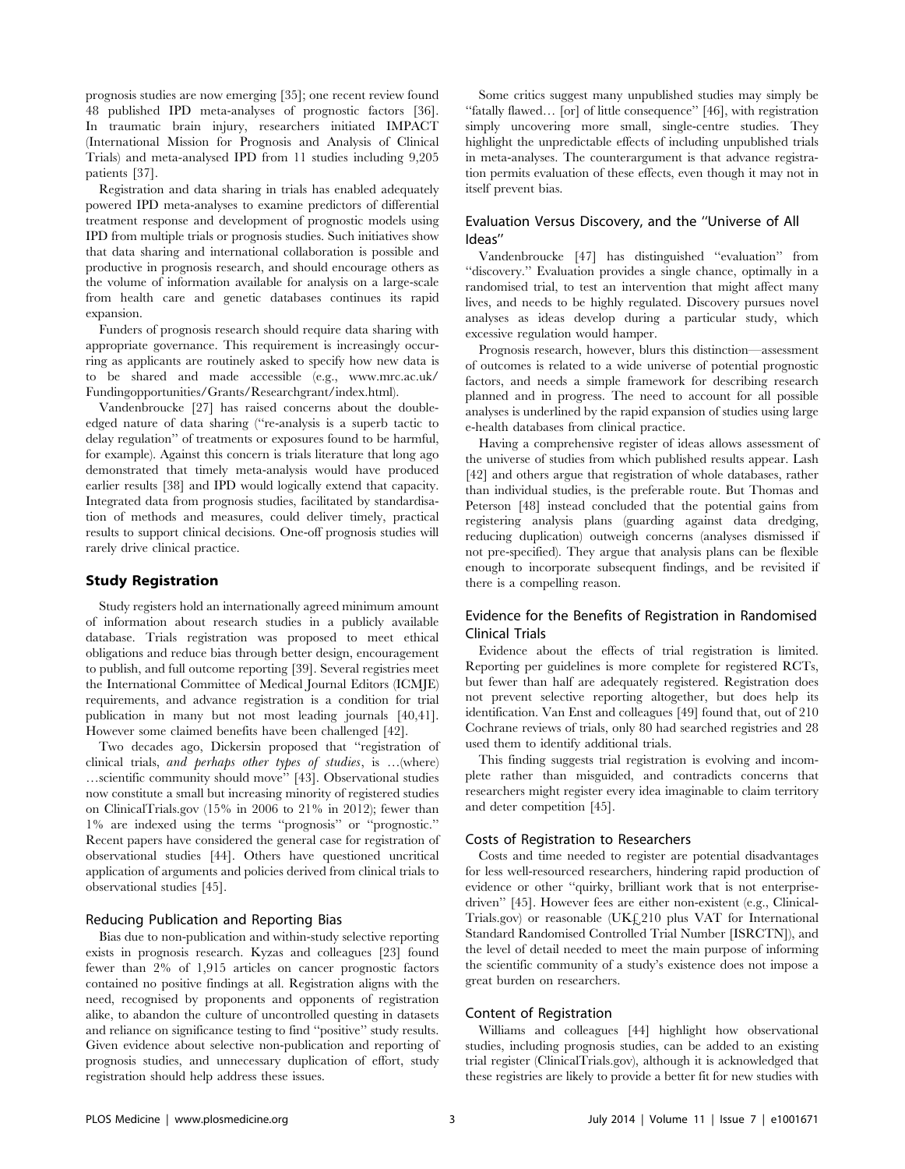prognosis studies are now emerging [35]; one recent review found 48 published IPD meta-analyses of prognostic factors [36]. In traumatic brain injury, researchers initiated IMPACT (International Mission for Prognosis and Analysis of Clinical Trials) and meta-analysed IPD from 11 studies including 9,205 patients [37].

Registration and data sharing in trials has enabled adequately powered IPD meta-analyses to examine predictors of differential treatment response and development of prognostic models using IPD from multiple trials or prognosis studies. Such initiatives show that data sharing and international collaboration is possible and productive in prognosis research, and should encourage others as the volume of information available for analysis on a large-scale from health care and genetic databases continues its rapid expansion.

Funders of prognosis research should require data sharing with appropriate governance. This requirement is increasingly occurring as applicants are routinely asked to specify how new data is to be shared and made accessible (e.g., [www.mrc.ac.uk/](www.mrc.ac.uk/Fundingopportunities/Grants/Researchgrant/index.html) [Fundingopportunities/Grants/Researchgrant/index.html\)](www.mrc.ac.uk/Fundingopportunities/Grants/Researchgrant/index.html).

Vandenbroucke [27] has raised concerns about the doubleedged nature of data sharing (''re-analysis is a superb tactic to delay regulation'' of treatments or exposures found to be harmful, for example). Against this concern is trials literature that long ago demonstrated that timely meta-analysis would have produced earlier results [38] and IPD would logically extend that capacity. Integrated data from prognosis studies, facilitated by standardisation of methods and measures, could deliver timely, practical results to support clinical decisions. One-off prognosis studies will rarely drive clinical practice.

## Study Registration

Study registers hold an internationally agreed minimum amount of information about research studies in a publicly available database. Trials registration was proposed to meet ethical obligations and reduce bias through better design, encouragement to publish, and full outcome reporting [39]. Several registries meet the International Committee of Medical Journal Editors (ICMJE) requirements, and advance registration is a condition for trial publication in many but not most leading journals [40,41]. However some claimed benefits have been challenged [42].

Two decades ago, Dickersin proposed that ''registration of clinical trials, and perhaps other types of studies, is …(where) …scientific community should move'' [43]. Observational studies now constitute a small but increasing minority of registered studies on ClinicalTrials.gov (15% in 2006 to 21% in 2012); fewer than 1% are indexed using the terms ''prognosis'' or ''prognostic.'' Recent papers have considered the general case for registration of observational studies [44]. Others have questioned uncritical application of arguments and policies derived from clinical trials to observational studies [45].

# Reducing Publication and Reporting Bias

Bias due to non-publication and within-study selective reporting exists in prognosis research. Kyzas and colleagues [23] found fewer than 2% of 1,915 articles on cancer prognostic factors contained no positive findings at all. Registration aligns with the need, recognised by proponents and opponents of registration alike, to abandon the culture of uncontrolled questing in datasets and reliance on significance testing to find ''positive'' study results. Given evidence about selective non-publication and reporting of prognosis studies, and unnecessary duplication of effort, study registration should help address these issues.

Some critics suggest many unpublished studies may simply be ''fatally flawed… [or] of little consequence'' [46], with registration simply uncovering more small, single-centre studies. They highlight the unpredictable effects of including unpublished trials in meta-analyses. The counterargument is that advance registration permits evaluation of these effects, even though it may not in itself prevent bias.

# Evaluation Versus Discovery, and the ''Universe of All Ideas''

Vandenbroucke [47] has distinguished ''evaluation'' from ''discovery.'' Evaluation provides a single chance, optimally in a randomised trial, to test an intervention that might affect many lives, and needs to be highly regulated. Discovery pursues novel analyses as ideas develop during a particular study, which excessive regulation would hamper.

Prognosis research, however, blurs this distinction—assessment of outcomes is related to a wide universe of potential prognostic factors, and needs a simple framework for describing research planned and in progress. The need to account for all possible analyses is underlined by the rapid expansion of studies using large e-health databases from clinical practice.

Having a comprehensive register of ideas allows assessment of the universe of studies from which published results appear. Lash [42] and others argue that registration of whole databases, rather than individual studies, is the preferable route. But Thomas and Peterson [48] instead concluded that the potential gains from registering analysis plans (guarding against data dredging, reducing duplication) outweigh concerns (analyses dismissed if not pre-specified). They argue that analysis plans can be flexible enough to incorporate subsequent findings, and be revisited if there is a compelling reason.

# Evidence for the Benefits of Registration in Randomised Clinical Trials

Evidence about the effects of trial registration is limited. Reporting per guidelines is more complete for registered RCTs, but fewer than half are adequately registered. Registration does not prevent selective reporting altogether, but does help its identification. Van Enst and colleagues [49] found that, out of 210 Cochrane reviews of trials, only 80 had searched registries and 28 used them to identify additional trials.

This finding suggests trial registration is evolving and incomplete rather than misguided, and contradicts concerns that researchers might register every idea imaginable to claim territory and deter competition [45].

### Costs of Registration to Researchers

Costs and time needed to register are potential disadvantages for less well-resourced researchers, hindering rapid production of evidence or other ''quirky, brilliant work that is not enterprisedriven'' [45]. However fees are either non-existent (e.g., Clinical-Trials.gov) or reasonable (UK£210 plus VAT for International Standard Randomised Controlled Trial Number [ISRCTN]), and the level of detail needed to meet the main purpose of informing the scientific community of a study's existence does not impose a great burden on researchers.

# Content of Registration

Williams and colleagues [44] highlight how observational studies, including prognosis studies, can be added to an existing trial register (ClinicalTrials.gov), although it is acknowledged that these registries are likely to provide a better fit for new studies with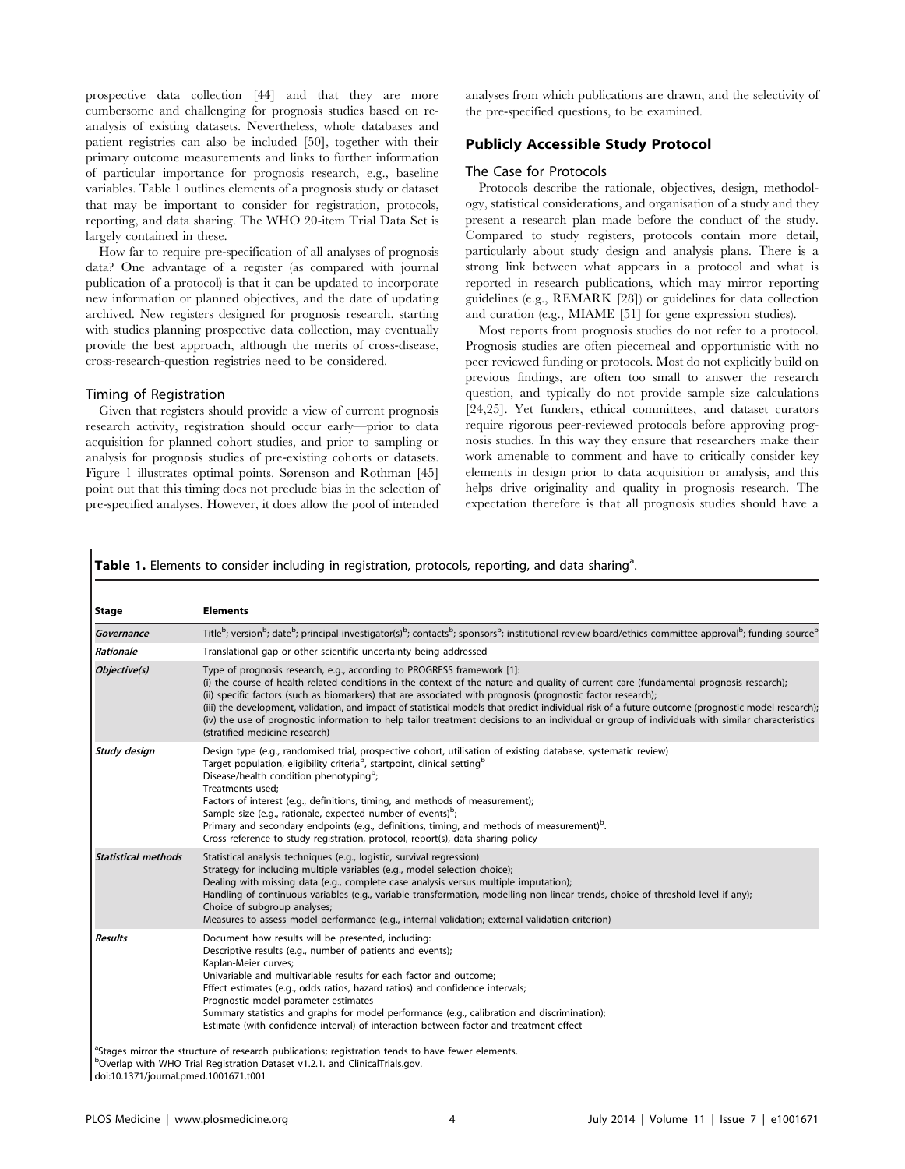prospective data collection [44] and that they are more cumbersome and challenging for prognosis studies based on reanalysis of existing datasets. Nevertheless, whole databases and patient registries can also be included [50], together with their primary outcome measurements and links to further information of particular importance for prognosis research, e.g., baseline variables. Table 1 outlines elements of a prognosis study or dataset that may be important to consider for registration, protocols, reporting, and data sharing. The WHO 20-item Trial Data Set is largely contained in these.

How far to require pre-specification of all analyses of prognosis data? One advantage of a register (as compared with journal publication of a protocol) is that it can be updated to incorporate new information or planned objectives, and the date of updating archived. New registers designed for prognosis research, starting with studies planning prospective data collection, may eventually provide the best approach, although the merits of cross-disease, cross-research-question registries need to be considered.

## Timing of Registration

Given that registers should provide a view of current prognosis research activity, registration should occur early—prior to data acquisition for planned cohort studies, and prior to sampling or analysis for prognosis studies of pre-existing cohorts or datasets. Figure 1 illustrates optimal points. Sørenson and Rothman [45] point out that this timing does not preclude bias in the selection of pre-specified analyses. However, it does allow the pool of intended analyses from which publications are drawn, and the selectivity of the pre-specified questions, to be examined.

# Publicly Accessible Study Protocol

#### The Case for Protocols

Protocols describe the rationale, objectives, design, methodology, statistical considerations, and organisation of a study and they present a research plan made before the conduct of the study. Compared to study registers, protocols contain more detail, particularly about study design and analysis plans. There is a strong link between what appears in a protocol and what is reported in research publications, which may mirror reporting guidelines (e.g., REMARK [28]) or guidelines for data collection and curation (e.g., MIAME [51] for gene expression studies).

Most reports from prognosis studies do not refer to a protocol. Prognosis studies are often piecemeal and opportunistic with no peer reviewed funding or protocols. Most do not explicitly build on previous findings, are often too small to answer the research question, and typically do not provide sample size calculations [24,25]. Yet funders, ethical committees, and dataset curators require rigorous peer-reviewed protocols before approving prognosis studies. In this way they ensure that researchers make their work amenable to comment and have to critically consider key elements in design prior to data acquisition or analysis, and this helps drive originality and quality in prognosis research. The expectation therefore is that all prognosis studies should have a

Table 1. Elements to consider including in registration, protocols, reporting, and data sharing<sup>a</sup>.

| <b>Stage</b>               | <b>Elements</b>                                                                                                                                                                                                                                                                                                                                                                                                                                                                                                                                                                                                                                                           |  |  |  |  |
|----------------------------|---------------------------------------------------------------------------------------------------------------------------------------------------------------------------------------------------------------------------------------------------------------------------------------------------------------------------------------------------------------------------------------------------------------------------------------------------------------------------------------------------------------------------------------------------------------------------------------------------------------------------------------------------------------------------|--|--|--|--|
| Governance                 | Title <sup>b</sup> ; version <sup>b</sup> ; date <sup>b</sup> ; principal investigator(s) <sup>b</sup> ; contacts <sup>b</sup> ; sponsors <sup>b</sup> ; institutional review board/ethics committee approval <sup>b</sup> ; funding source <sup>b</sup>                                                                                                                                                                                                                                                                                                                                                                                                                  |  |  |  |  |
| Rationale                  | Translational gap or other scientific uncertainty being addressed                                                                                                                                                                                                                                                                                                                                                                                                                                                                                                                                                                                                         |  |  |  |  |
| Objective(s)               | Type of prognosis research, e.g., according to PROGRESS framework [1]:<br>(i) the course of health related conditions in the context of the nature and quality of current care (fundamental prognosis research);<br>(ii) specific factors (such as biomarkers) that are associated with prognosis (prognostic factor research);<br>(iii) the development, validation, and impact of statistical models that predict individual risk of a future outcome (prognostic model research);<br>(iv) the use of prognostic information to help tailor treatment decisions to an individual or group of individuals with similar characteristics<br>(stratified medicine research) |  |  |  |  |
| Study design               | Design type (e.g., randomised trial, prospective cohort, utilisation of existing database, systematic review)<br>Target population, eligibility criteria <sup>b</sup> , startpoint, clinical setting <sup>b</sup><br>Disease/health condition phenotyping <sup>b</sup> ;<br>Treatments used:<br>Factors of interest (e.g., definitions, timing, and methods of measurement);<br>Sample size (e.g., rationale, expected number of events) <sup>b</sup> ;<br>Primary and secondary endpoints (e.g., definitions, timing, and methods of measurement) <sup>b</sup> .<br>Cross reference to study registration, protocol, report(s), data sharing policy                      |  |  |  |  |
| <b>Statistical methods</b> | Statistical analysis techniques (e.g., logistic, survival regression)<br>Strategy for including multiple variables (e.g., model selection choice);<br>Dealing with missing data (e.g., complete case analysis versus multiple imputation);<br>Handling of continuous variables (e.g., variable transformation, modelling non-linear trends, choice of threshold level if any);<br>Choice of subgroup analyses;<br>Measures to assess model performance (e.g., internal validation; external validation criterion)                                                                                                                                                         |  |  |  |  |
| <b>Results</b>             | Document how results will be presented, including:<br>Descriptive results (e.g., number of patients and events);<br>Kaplan-Meier curves;<br>Univariable and multivariable results for each factor and outcome;<br>Effect estimates (e.g., odds ratios, hazard ratios) and confidence intervals;<br>Prognostic model parameter estimates<br>Summary statistics and graphs for model performance (e.g., calibration and discrimination);<br>Estimate (with confidence interval) of interaction between factor and treatment effect                                                                                                                                          |  |  |  |  |

doi:10.1371/journal.pmed.1001671.t001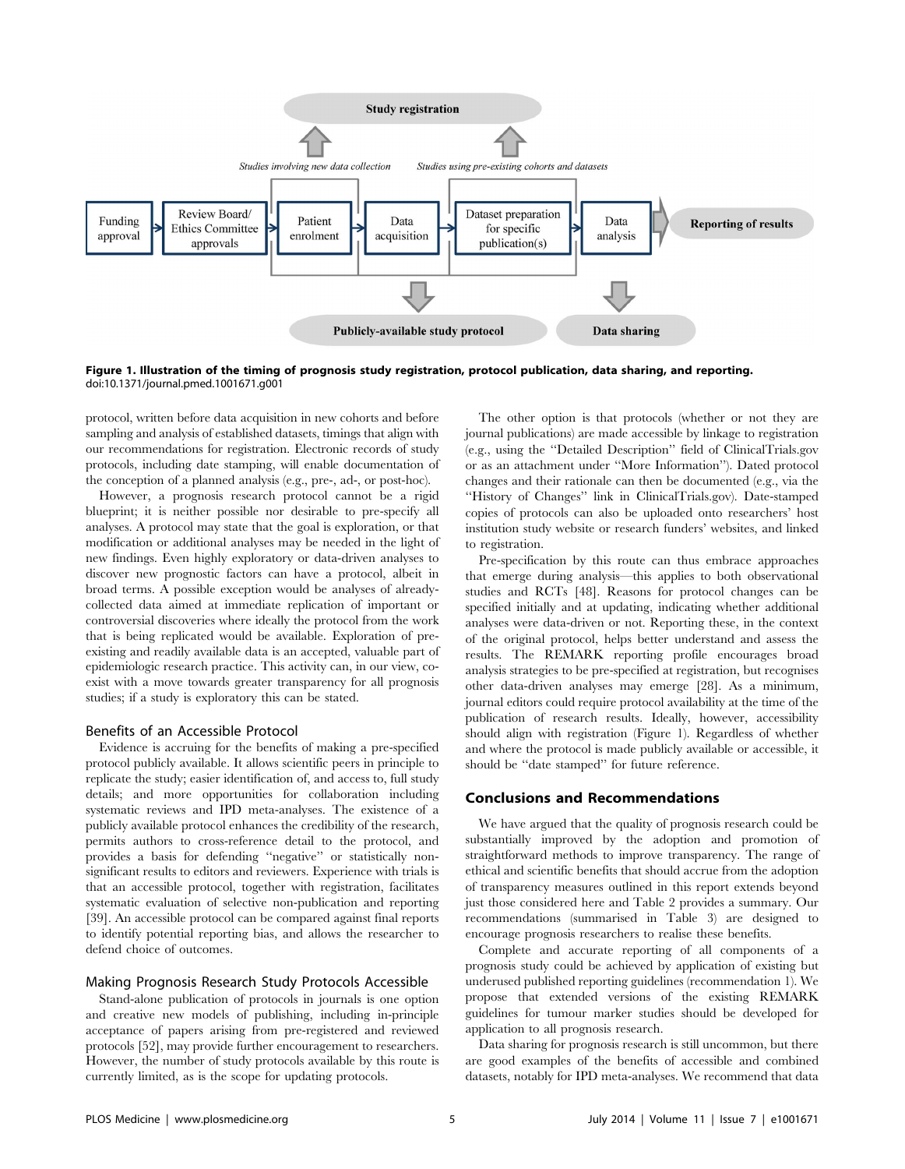

Figure 1. Illustration of the timing of prognosis study registration, protocol publication, data sharing, and reporting. doi:10.1371/journal.pmed.1001671.g001

protocol, written before data acquisition in new cohorts and before sampling and analysis of established datasets, timings that align with our recommendations for registration. Electronic records of study protocols, including date stamping, will enable documentation of the conception of a planned analysis (e.g., pre-, ad-, or post-hoc).

However, a prognosis research protocol cannot be a rigid blueprint; it is neither possible nor desirable to pre-specify all analyses. A protocol may state that the goal is exploration, or that modification or additional analyses may be needed in the light of new findings. Even highly exploratory or data-driven analyses to discover new prognostic factors can have a protocol, albeit in broad terms. A possible exception would be analyses of alreadycollected data aimed at immediate replication of important or controversial discoveries where ideally the protocol from the work that is being replicated would be available. Exploration of preexisting and readily available data is an accepted, valuable part of epidemiologic research practice. This activity can, in our view, coexist with a move towards greater transparency for all prognosis studies; if a study is exploratory this can be stated.

#### Benefits of an Accessible Protocol

Evidence is accruing for the benefits of making a pre-specified protocol publicly available. It allows scientific peers in principle to replicate the study; easier identification of, and access to, full study details; and more opportunities for collaboration including systematic reviews and IPD meta-analyses. The existence of a publicly available protocol enhances the credibility of the research, permits authors to cross-reference detail to the protocol, and provides a basis for defending ''negative'' or statistically nonsignificant results to editors and reviewers. Experience with trials is that an accessible protocol, together with registration, facilitates systematic evaluation of selective non-publication and reporting [39]. An accessible protocol can be compared against final reports to identify potential reporting bias, and allows the researcher to defend choice of outcomes.

#### Making Prognosis Research Study Protocols Accessible

Stand-alone publication of protocols in journals is one option and creative new models of publishing, including in-principle acceptance of papers arising from pre-registered and reviewed protocols [52], may provide further encouragement to researchers. However, the number of study protocols available by this route is currently limited, as is the scope for updating protocols.

The other option is that protocols (whether or not they are journal publications) are made accessible by linkage to registration (e.g., using the ''Detailed Description'' field of ClinicalTrials.gov or as an attachment under ''More Information''). Dated protocol changes and their rationale can then be documented (e.g., via the ''History of Changes'' link in ClinicalTrials.gov). Date-stamped copies of protocols can also be uploaded onto researchers' host institution study website or research funders' websites, and linked to registration.

Pre-specification by this route can thus embrace approaches that emerge during analysis—this applies to both observational studies and RCTs [48]. Reasons for protocol changes can be specified initially and at updating, indicating whether additional analyses were data-driven or not. Reporting these, in the context of the original protocol, helps better understand and assess the results. The REMARK reporting profile encourages broad analysis strategies to be pre-specified at registration, but recognises other data-driven analyses may emerge [28]. As a minimum, journal editors could require protocol availability at the time of the publication of research results. Ideally, however, accessibility should align with registration (Figure 1). Regardless of whether and where the protocol is made publicly available or accessible, it should be ''date stamped'' for future reference.

# Conclusions and Recommendations

We have argued that the quality of prognosis research could be substantially improved by the adoption and promotion of straightforward methods to improve transparency. The range of ethical and scientific benefits that should accrue from the adoption of transparency measures outlined in this report extends beyond just those considered here and Table 2 provides a summary. Our recommendations (summarised in Table 3) are designed to encourage prognosis researchers to realise these benefits.

Complete and accurate reporting of all components of a prognosis study could be achieved by application of existing but underused published reporting guidelines (recommendation 1). We propose that extended versions of the existing REMARK guidelines for tumour marker studies should be developed for application to all prognosis research.

Data sharing for prognosis research is still uncommon, but there are good examples of the benefits of accessible and combined datasets, notably for IPD meta-analyses. We recommend that data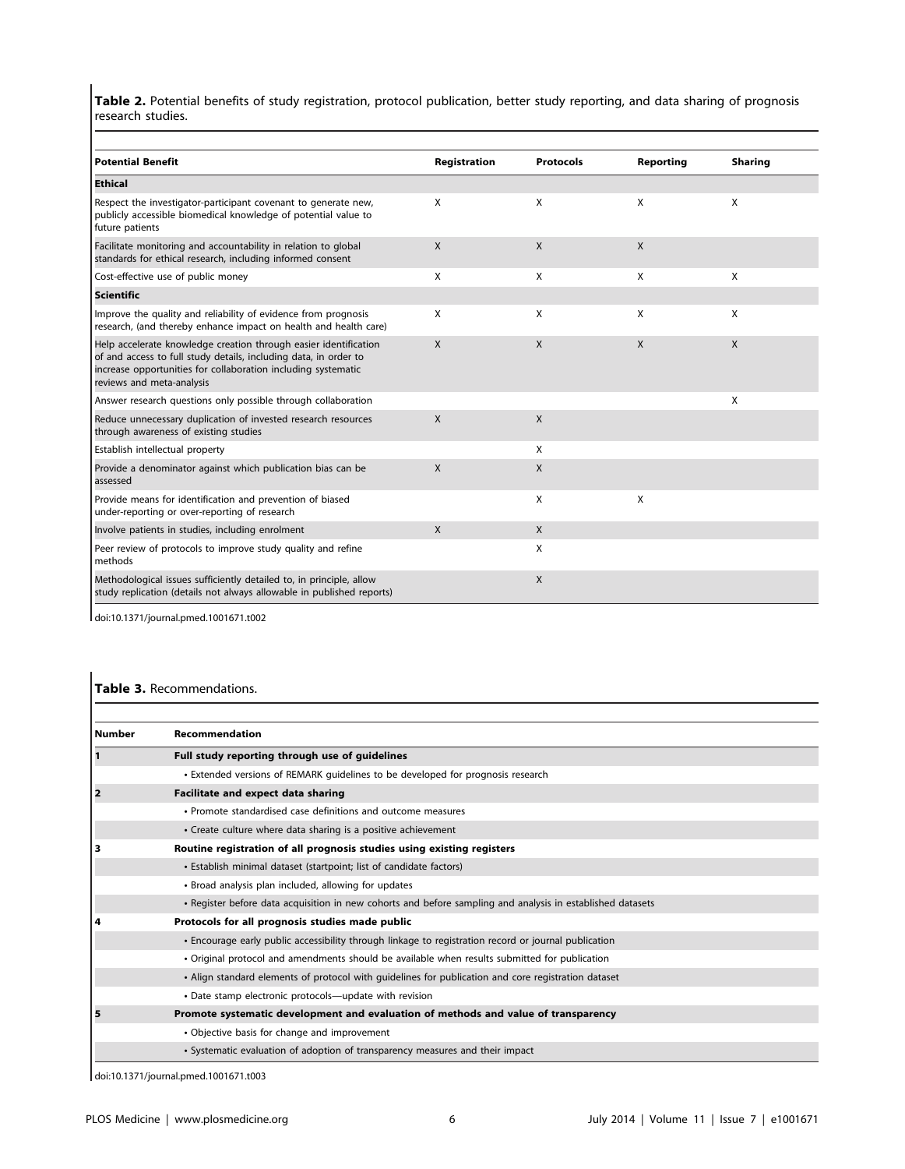Table 2. Potential benefits of study registration, protocol publication, better study reporting, and data sharing of prognosis research studies.

| Potential Benefit                                                                                                                                                                                                                  | Registration | Protocols | Reporting    | <b>Sharing</b> |
|------------------------------------------------------------------------------------------------------------------------------------------------------------------------------------------------------------------------------------|--------------|-----------|--------------|----------------|
| <b>Ethical</b>                                                                                                                                                                                                                     |              |           |              |                |
| Respect the investigator-participant covenant to generate new,<br>publicly accessible biomedical knowledge of potential value to<br>future patients                                                                                | X            | X         | X            | X              |
| Facilitate monitoring and accountability in relation to global<br>standards for ethical research, including informed consent                                                                                                       | $\mathsf{X}$ | X         | X            |                |
| Cost-effective use of public money                                                                                                                                                                                                 | X            | X         | X            | X              |
| Scientific                                                                                                                                                                                                                         |              |           |              |                |
| Improve the quality and reliability of evidence from prognosis<br>research, (and thereby enhance impact on health and health care)                                                                                                 | X            | X         | X            | X              |
| Help accelerate knowledge creation through easier identification<br>of and access to full study details, including data, in order to<br>increase opportunities for collaboration including systematic<br>reviews and meta-analysis | $\mathsf{X}$ | X         | $\mathsf{X}$ | X              |
| Answer research questions only possible through collaboration                                                                                                                                                                      |              |           |              | X              |
| Reduce unnecessary duplication of invested research resources<br>through awareness of existing studies                                                                                                                             | $\mathsf{x}$ | X         |              |                |
| <b>Establish intellectual property</b>                                                                                                                                                                                             |              | X         |              |                |
| Provide a denominator against which publication bias can be<br>assessed                                                                                                                                                            | $\mathsf{X}$ | X         |              |                |
| Provide means for identification and prevention of biased<br>under-reporting or over-reporting of research                                                                                                                         |              | X         | X            |                |
| Involve patients in studies, including enrolment                                                                                                                                                                                   | $\mathsf{X}$ | X         |              |                |
| Peer review of protocols to improve study quality and refine<br>methods                                                                                                                                                            |              | X         |              |                |
| Methodological issues sufficiently detailed to, in principle, allow<br>study replication (details not always allowable in published reports)                                                                                       |              | X         |              |                |

doi:10.1371/journal.pmed.1001671.t002

# Table 3. Recommendations.

| Number | Recommendation                                                                                             |
|--------|------------------------------------------------------------------------------------------------------------|
| 11     | Full study reporting through use of guidelines                                                             |
|        | • Extended versions of REMARK guidelines to be developed for prognosis research                            |
| 12     | Facilitate and expect data sharing                                                                         |
|        | • Promote standardised case definitions and outcome measures                                               |
|        | • Create culture where data sharing is a positive achievement                                              |
| 13     | Routine registration of all prognosis studies using existing registers                                     |
|        | • Establish minimal dataset (startpoint; list of candidate factors)                                        |
|        | • Broad analysis plan included, allowing for updates                                                       |
|        | • Register before data acquisition in new cohorts and before sampling and analysis in established datasets |
| 14     | Protocols for all prognosis studies made public                                                            |
|        | • Encourage early public accessibility through linkage to registration record or journal publication       |
|        | • Original protocol and amendments should be available when results submitted for publication              |
|        | • Align standard elements of protocol with guidelines for publication and core registration dataset        |
|        | • Date stamp electronic protocols—update with revision                                                     |
| 15     | Promote systematic development and evaluation of methods and value of transparency                         |
|        | • Objective basis for change and improvement                                                               |
|        | • Systematic evaluation of adoption of transparency measures and their impact                              |

doi:10.1371/journal.pmed.1001671.t003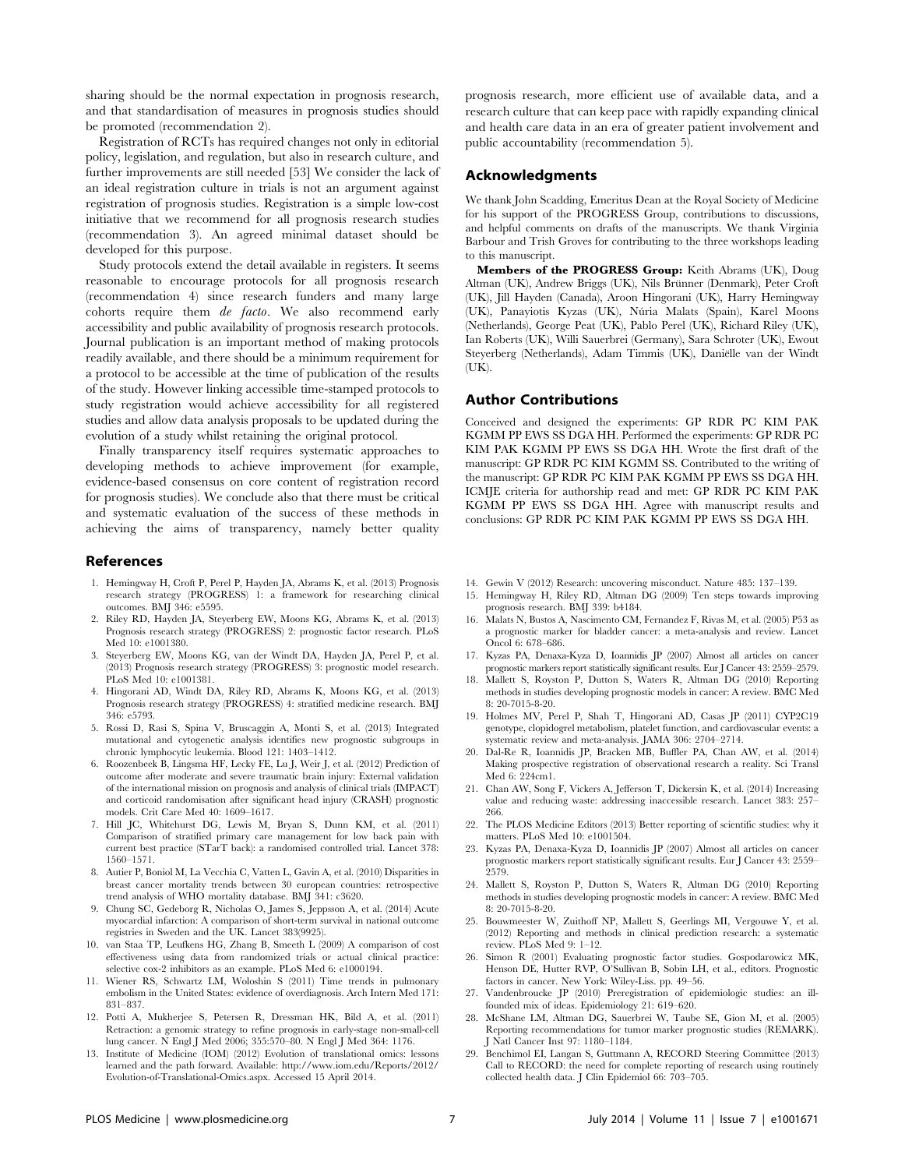sharing should be the normal expectation in prognosis research, and that standardisation of measures in prognosis studies should be promoted (recommendation 2).

Registration of RCTs has required changes not only in editorial policy, legislation, and regulation, but also in research culture, and further improvements are still needed [53] We consider the lack of an ideal registration culture in trials is not an argument against registration of prognosis studies. Registration is a simple low-cost initiative that we recommend for all prognosis research studies (recommendation 3). An agreed minimal dataset should be developed for this purpose.

Study protocols extend the detail available in registers. It seems reasonable to encourage protocols for all prognosis research (recommendation 4) since research funders and many large cohorts require them de facto. We also recommend early accessibility and public availability of prognosis research protocols. Journal publication is an important method of making protocols readily available, and there should be a minimum requirement for a protocol to be accessible at the time of publication of the results of the study. However linking accessible time-stamped protocols to study registration would achieve accessibility for all registered studies and allow data analysis proposals to be updated during the evolution of a study whilst retaining the original protocol.

Finally transparency itself requires systematic approaches to developing methods to achieve improvement (for example, evidence-based consensus on core content of registration record for prognosis studies). We conclude also that there must be critical and systematic evaluation of the success of these methods in achieving the aims of transparency, namely better quality

#### References

- 1. Hemingway H, Croft P, Perel P, Hayden JA, Abrams K, et al. (2013) Prognosis research strategy (PROGRESS) 1: a framework for researching clinical outcomes. BMJ 346: e5595.
- 2. Riley RD, Hayden JA, Steyerberg EW, Moons KG, Abrams K, et al. (2013) Prognosis research strategy (PROGRESS) 2: prognostic factor research. PLoS Med 10: e1001380.
- 3. Steyerberg EW, Moons KG, van der Windt DA, Hayden JA, Perel P, et al. (2013) Prognosis research strategy (PROGRESS) 3: prognostic model research. PLoS Med 10: e1001381.
- 4. Hingorani AD, Windt DA, Riley RD, Abrams K, Moons KG, et al. (2013) Prognosis research strategy (PROGRESS) 4: stratified medicine research. BMJ 346: e5793.
- 5. Rossi D, Rasi S, Spina V, Bruscaggin A, Monti S, et al. (2013) Integrated mutational and cytogenetic analysis identifies new prognostic subgroups in chronic lymphocytic leukemia. Blood 121: 1403–1412.
- 6. Roozenbeek B, Lingsma HF, Lecky FE, Lu J, Weir J, et al. (2012) Prediction of outcome after moderate and severe traumatic brain injury: External validation of the international mission on prognosis and analysis of clinical trials (IMPACT) and corticoid randomisation after significant head injury (CRASH) prognostic models. Crit Care Med 40: 1609–1617.
- 7. Hill JC, Whitehurst DG, Lewis M, Bryan S, Dunn KM, et al. (2011) Comparison of stratified primary care management for low back pain with current best practice (STarT back): a randomised controlled trial. Lancet 378: 1560–1571.
- 8. Autier P, Boniol M, La Vecchia C, Vatten L, Gavin A, et al. (2010) Disparities in breast cancer mortality trends between 30 european countries: retrospective trend analysis of WHO mortality database. BMJ 341: c3620.
- 9. Chung SC, Gedeborg R, Nicholas O, James S, Jeppsson A, et al. (2014) Acute myocardial infarction: A comparison of short-term survival in national outcome registries in Sweden and the UK. Lancet 383(9925).
- 10. van Staa TP, Leufkens HG, Zhang B, Smeeth L (2009) A comparison of cost effectiveness using data from randomized trials or actual clinical practice: selective cox-2 inhibitors as an example. PLoS Med 6: e1000194.
- 11. Wiener RS, Schwartz LM, Woloshin S (2011) Time trends in pulmonary embolism in the United States: evidence of overdiagnosis. Arch Intern Med 171: 831–837.
- 12. Potti A, Mukherjee S, Petersen R, Dressman HK, Bild A, et al. (2011) Retraction: a genomic strategy to refine prognosis in early-stage non-small-cell lung cancer. N Engl J Med 2006; 355:570–80. N Engl J Med 364: 1176.
- 13. Institute of Medicine (IOM) (2012) Evolution of translational omics: lessons learned and the path forward. Available: [http://www.iom.edu/Reports/2012/](http://www.iom.edu/Reports/2012/Evolution-of-Translational-Omics.aspx) [Evolution-of-Translational-Omics.aspx](http://www.iom.edu/Reports/2012/Evolution-of-Translational-Omics.aspx). Accessed 15 April 2014.

prognosis research, more efficient use of available data, and a research culture that can keep pace with rapidly expanding clinical and health care data in an era of greater patient involvement and public accountability (recommendation 5).

# Acknowledgments

We thank John Scadding, Emeritus Dean at the Royal Society of Medicine for his support of the PROGRESS Group, contributions to discussions, and helpful comments on drafts of the manuscripts. We thank Virginia Barbour and Trish Groves for contributing to the three workshops leading to this manuscript.

Members of the PROGRESS Group: Keith Abrams (UK), Doug Altman (UK), Andrew Briggs (UK), Nils Brünner (Denmark), Peter Croft (UK), Jill Hayden (Canada), Aroon Hingorani (UK), Harry Hemingway (UK), Panayiotis Kyzas (UK), Nu´ria Malats (Spain), Karel Moons (Netherlands), George Peat (UK), Pablo Perel (UK), Richard Riley (UK), Ian Roberts (UK), Willi Sauerbrei (Germany), Sara Schroter (UK), Ewout Steyerberg (Netherlands), Adam Timmis (UK), Daniëlle van der Windt  $(IJK)$ .

### Author Contributions

Conceived and designed the experiments: GP RDR PC KIM PAK KGMM PP EWS SS DGA HH. Performed the experiments: GP RDR PC KIM PAK KGMM PP EWS SS DGA HH. Wrote the first draft of the manuscript: GP RDR PC KIM KGMM SS. Contributed to the writing of the manuscript: GP RDR PC KIM PAK KGMM PP EWS SS DGA HH. [ICMJE](http://www.icmje.org/) criteria for authorship read and met: GP RDR PC KIM PAK KGMM PP EWS SS DGA HH. Agree with manuscript results and conclusions: GP RDR PC KIM PAK KGMM PP EWS SS DGA HH.

- 14. Gewin V (2012) Research: uncovering misconduct. Nature 485: 137–139.
- 15. Hemingway H, Riley RD, Altman DG (2009) Ten steps towards improving prognosis research. BMJ 339: b4184.
- 16. Malats N, Bustos A, Nascimento CM, Fernandez F, Rivas M, et al. (2005) P53 as a prognostic marker for bladder cancer: a meta-analysis and review. Lancet Oncol 6: 678–686.
- 17. Kyzas PA, Denaxa-Kyza D, Ioannidis JP (2007) Almost all articles on cancer prognostic markers report statistically significant results. Eur J Cancer 43: 2559–2579.
- 18. Mallett S, Royston P, Dutton S, Waters R, Altman DG (2010) Reporting methods in studies developing prognostic models in cancer: A review. BMC Med 8: 20-7015-8-20.
- 19. Holmes MV, Perel P, Shah T, Hingorani AD, Casas JP (2011) CYP2C19 genotype, clopidogrel metabolism, platelet function, and cardiovascular events: a systematic review and meta-analysis. JAMA 306: 2704–2714.
- 20. Dal-Re R, Ioannidis JP, Bracken MB, Buffler PA, Chan AW, et al. (2014) Making prospective registration of observational research a reality. Sci Transl Med 6: 224cm1.
- 21. Chan AW, Song F, Vickers A, Jefferson T, Dickersin K, et al. (2014) Increasing value and reducing waste: addressing inaccessible research. Lancet 383: 257– 266.
- 22. The PLOS Medicine Editors (2013) Better reporting of scientific studies: why it matters. PLoS Med 10: e1001504.
- 23. Kyzas PA, Denaxa-Kyza D, Ioannidis JP (2007) Almost all articles on cancer prognostic markers report statistically significant results. Eur J Cancer 43: 2559– 2579.
- 24. Mallett S, Royston P, Dutton S, Waters R, Altman DG (2010) Reporting methods in studies developing prognostic models in cancer: A review. BMC Med 8: 20-7015-8-20.
- 25. Bouwmeester W, Zuithoff NP, Mallett S, Geerlings MI, Vergouwe Y, et al. (2012) Reporting and methods in clinical prediction research: a systematic review. PLoS Med 9: 1–12.
- 26. Simon R (2001) Evaluating prognostic factor studies. Gospodarowicz MK, Henson DE, Hutter RVP, O'Sullivan B, Sobin LH, et al., editors. Prognostic factors in cancer. New York: Wiley-Liss. pp. 49–56.
- 27. Vandenbroucke JP (2010) Preregistration of epidemiologic studies: an illfounded mix of ideas. Epidemiology 21: 619–620.
- 28. McShane LM, Altman DG, Sauerbrei W, Taube SE, Gion M, et al. (2005) Reporting recommendations for tumor marker prognostic studies (REMARK). J Natl Cancer Inst 97: 1180–1184.
- 29. Benchimol EI, Langan S, Guttmann A, RECORD Steering Committee (2013) Call to RECORD: the need for complete reporting of research using routinely collected health data. J Clin Epidemiol 66: 703–705.